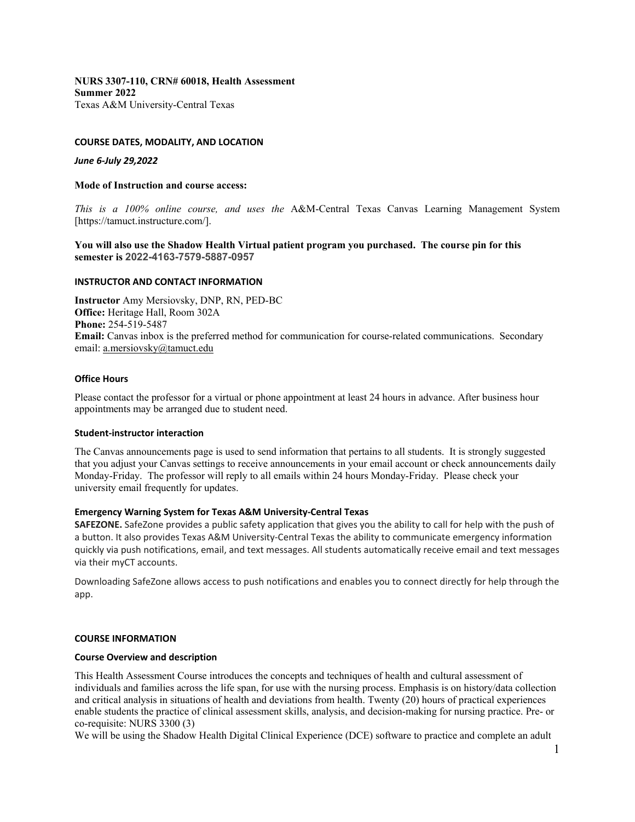**NURS 3307-110, CRN# 60018, Health Assessment Summer 2022** Texas A&M University-Central Texas

## **COURSE DATES, MODALITY, AND LOCATION**

### *June 6-July 29,2022*

### **Mode of Instruction and course access:**

*This is a 100% online course, and uses the* A&M-Central Texas Canvas Learning Management System [https://tamuct.instructure.com/].

## **You will also use the Shadow Health Virtual patient program you purchased. The course pin for this semester is 2022-4163-7579-5887-0957**

### **INSTRUCTOR AND CONTACT INFORMATION**

**Instructor** Amy Mersiovsky, DNP, RN, PED-BC **Office:** Heritage Hall, Room 302A **Phone:** 254-519-5487 **Email:** Canvas inbox is the preferred method for communication for course-related communications. Secondary email: [a.mersiovsky@tamuct.edu](mailto:a.mersiovsky@tamuct.edu)

### **Office Hours**

Please contact the professor for a virtual or phone appointment at least 24 hours in advance. After business hour appointments may be arranged due to student need.

## **Student-instructor interaction**

The Canvas announcements page is used to send information that pertains to all students. It is strongly suggested that you adjust your Canvas settings to receive announcements in your email account or check announcements daily Monday-Friday. The professor will reply to all emails within 24 hours Monday-Friday. Please check your university email frequently for updates.

## **Emergency Warning System for Texas A&M University-Central Texas**

**SAFEZONE.** SafeZone provides a public safety application that gives you the ability to call for help with the push of a button. It also provides Texas A&M University-Central Texas the ability to communicate emergency information quickly via push notifications, email, and text messages. All students automatically receive email and text messages via their myCT accounts.

Downloading SafeZone allows access to push notifications and enables you to connect directly for help through the app.

#### **COURSE INFORMATION**

### **Course Overview and description**

This Health Assessment Course introduces the concepts and techniques of health and cultural assessment of individuals and families across the life span, for use with the nursing process. Emphasis is on history/data collection and critical analysis in situations of health and deviations from health. Twenty (20) hours of practical experiences enable students the practice of clinical assessment skills, analysis, and decision-making for nursing practice. Pre- or co-requisite: NURS 3300 (3)

We will be using the Shadow Health Digital Clinical Experience (DCE) software to practice and complete an adult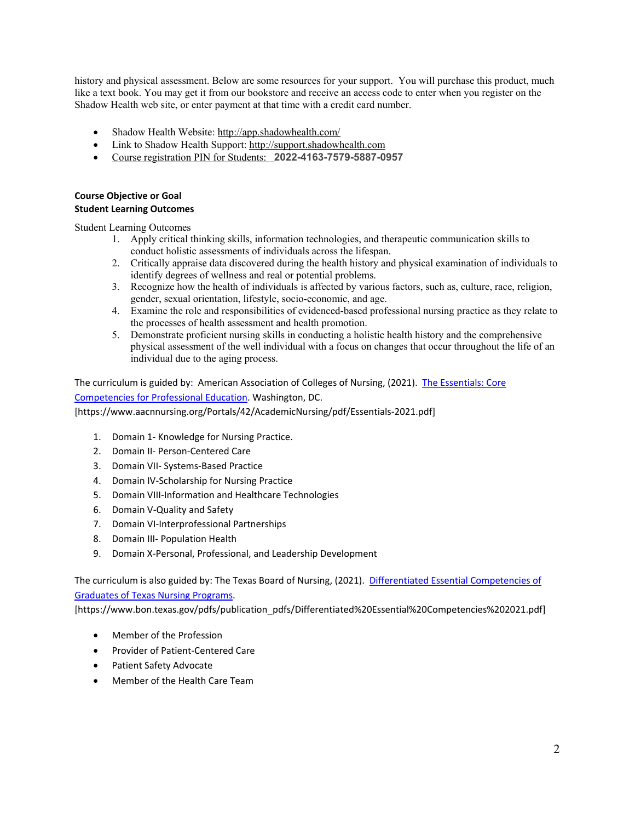history and physical assessment. Below are some resources for your support. You will purchase this product, much like a text book. You may get it from our bookstore and receive an access code to enter when you register on the Shadow Health web site, or enter payment at that time with a credit card number.

- Shadow Health Website: [http://app.shadowhealth.com/](http://securemail.shadowhealth.com/wf/click?upn=U60LdexMNVIbW9M8b6ISefAEF0g-2BBsdon-2FUAtF9D-2Bkf5UvwhHgZByigvV-2Bj4gimi_M8Gz97NWDW2DS73Ou4Jj-2F6hesL831DaAxrDKrt2vmJURoTLbnnZAhn8lVete3F8pqCVeNR9PTfkZUk5wsTl-2FKq0fnVCAbhUwzuCeXlTQk7x4-2BNSMFBCGVpMtJ1ovhNxYgRejomFqEKHsZJb5jCN0ktH3aiDt1lcDmzB6GmDBMokAEghicezHQHsrZkJqY68GUvZgz2BCJ9j4Uz9vwy443g-3D-3D)
- Link to Shadow Health Support[: http://support.shadowhealth.com](http://securemail.shadowhealth.com/wf/click?upn=198PZiO-2FpnWUhnHjZpidipp7ST8uyzorTwWVKLfF7dSTMwMzi1bnH2p7snj3MfB-2B_M8Gz97NWDW2DS73Ou4Jj-2F6hesL831DaAxrDKrt2vmJURoTLbnnZAhn8lVete3F8pKvVWMO2Caw6z9quQpoveBWyO-2FjKF7E8pubsoFCAHfFyk3vIqnpvtdMl-2FyfcsgvF4mwy6SUP6f6ZIzVA6Y1cijd2hFYsMoi9Q1faWtwe8acCP-2FxyoPNKbqtLZpKnbXmfuk3tGQpZ71GjbjHdu8FGHog-3D-3D)
- Course registration PIN for Students: **2022-4163-7579-5887-0957**

## **Course Objective or Goal Student Learning Outcomes**

Student Learning Outcomes

- 1. Apply critical thinking skills, information technologies, and therapeutic communication skills to conduct holistic assessments of individuals across the lifespan.
- 2. Critically appraise data discovered during the health history and physical examination of individuals to identify degrees of wellness and real or potential problems.
- 3. Recognize how the health of individuals is affected by various factors, such as, culture, race, religion, gender, sexual orientation, lifestyle, socio-economic, and age.
- 4. Examine the role and responsibilities of evidenced-based professional nursing practice as they relate to the processes of health assessment and health promotion.
- 5. Demonstrate proficient nursing skills in conducting a holistic health history and the comprehensive physical assessment of the well individual with a focus on changes that occur throughout the life of an individual due to the aging process.

The curriculum is guided by: American Association of Colleges of Nursing, (2021). The Essentials: Core [Competencies for Professional Education.](https://www.aacnnursing.org/Portals/42/AcademicNursing/pdf/Essentials-2021.pdf) Washington, DC. [https://www.aacnnursing.org/Portals/42/AcademicNursing/pdf/Essentials-2021.pdf]

- 1. Domain 1- Knowledge for Nursing Practice.
- 2. Domain II- Person-Centered Care
- 3. Domain VII- Systems-Based Practice
- 4. Domain IV-Scholarship for Nursing Practice
- 5. Domain VIII-Information and Healthcare Technologies
- 6. Domain V-Quality and Safety
- 7. Domain VI-Interprofessional Partnerships
- 8. Domain III- Population Health
- 9. Domain X-Personal, Professional, and Leadership Development

The curriculum is also guided by: The Texas Board of Nursing, (2021). [Differentiated Essential Competencies of](https://www.bon.texas.gov/pdfs/publication_pdfs/Differentiated%20Essential%20Competencies%202021.pdf)  [Graduates of Texas Nursing Programs.](https://www.bon.texas.gov/pdfs/publication_pdfs/Differentiated%20Essential%20Competencies%202021.pdf)

[https://www.bon.texas.gov/pdfs/publication\_pdfs/Differentiated%20Essential%20Competencies%202021.pdf]

- Member of the Profession
- Provider of Patient-Centered Care
- Patient Safety Advocate
- Member of the Health Care Team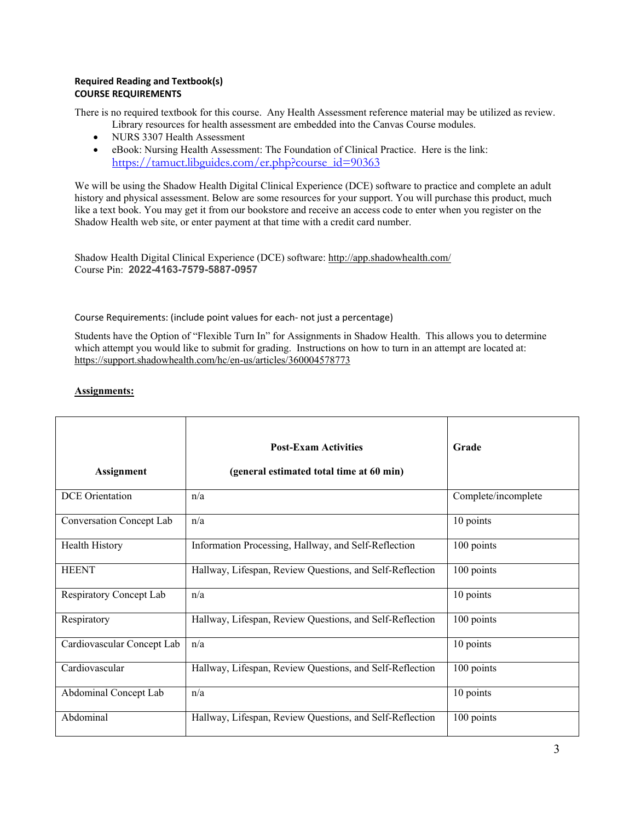# **Required Reading and Textbook(s) COURSE REQUIREMENTS**

There is no required textbook for this course. Any Health Assessment reference material may be utilized as review. Library resources for health assessment are embedded into the Canvas Course modules.

- NURS 3307 Health Assessment
- eBook: Nursing Health Assessment: The Foundation of Clinical Practice. Here is the link: [https://tamuct.libguides.com/er.php?course\\_id=90363](https://nam04.safelinks.protection.outlook.com/?url=https%3A%2F%2Ftamuct.libguides.com%2Fer.php%3Fcourse_id%3D90363&data=05%7C01%7Ca.mersiovsky%40tamuct.edu%7Ce457e361a88f4bb7050108da449d947f%7C9eed4e3000f744849ff193ad8005acec%7C0%7C0%7C637897740843969515%7CUnknown%7CTWFpbGZsb3d8eyJWIjoiMC4wLjAwMDAiLCJQIjoiV2luMzIiLCJBTiI6Ik1haWwiLCJXVCI6Mn0%3D%7C3000%7C%7C%7C&sdata=nEoMKPspubkWdkNR6CvkmSRrSoBdXLspJ7H5stJIlqY%3D&reserved=0)

We will be using the Shadow Health Digital Clinical Experience (DCE) software to practice and complete an adult history and physical assessment. Below are some resources for your support. You will purchase this product, much like a text book. You may get it from our bookstore and receive an access code to enter when you register on the Shadow Health web site, or enter payment at that time with a credit card number.

Shadow Health Digital Clinical Experience (DCE) software[: http://app.shadowhealth.com/](http://securemail.shadowhealth.com/wf/click?upn=U60LdexMNVIbW9M8b6ISefAEF0g-2BBsdon-2FUAtF9D-2Bkf5UvwhHgZByigvV-2Bj4gimi_M8Gz97NWDW2DS73Ou4Jj-2F6hesL831DaAxrDKrt2vmJURoTLbnnZAhn8lVete3F8pqCVeNR9PTfkZUk5wsTl-2FKq0fnVCAbhUwzuCeXlTQk7x4-2BNSMFBCGVpMtJ1ovhNxYgRejomFqEKHsZJb5jCN0ktH3aiDt1lcDmzB6GmDBMokAEghicezHQHsrZkJqY68GUvZgz2BCJ9j4Uz9vwy443g-3D-3D) Course Pin: **2022-4163-7579-5887-0957**

# Course Requirements: (include point values for each- not just a percentage)

Students have the Option of "Flexible Turn In" for Assignments in Shadow Health. This allows you to determine which attempt you would like to submit for grading. Instructions on how to turn in an attempt are located at: <https://support.shadowhealth.com/hc/en-us/articles/360004578773>

# **Assignments:**

| <b>Assignment</b>          | <b>Post-Exam Activities</b><br>(general estimated total time at 60 min) | Grade               |
|----------------------------|-------------------------------------------------------------------------|---------------------|
| <b>DCE</b> Orientation     | n/a                                                                     | Complete/incomplete |
| Conversation Concept Lab   | n/a                                                                     | 10 points           |
| Health History             | Information Processing, Hallway, and Self-Reflection                    | 100 points          |
| <b>HEENT</b>               | Hallway, Lifespan, Review Questions, and Self-Reflection                | 100 points          |
| Respiratory Concept Lab    | n/a                                                                     | 10 points           |
| Respiratory                | Hallway, Lifespan, Review Questions, and Self-Reflection                | 100 points          |
| Cardiovascular Concept Lab | n/a                                                                     | 10 points           |
| Cardiovascular             | Hallway, Lifespan, Review Questions, and Self-Reflection                | 100 points          |
| Abdominal Concept Lab      | n/a                                                                     | 10 points           |
| Abdominal                  | Hallway, Lifespan, Review Questions, and Self-Reflection                | 100 points          |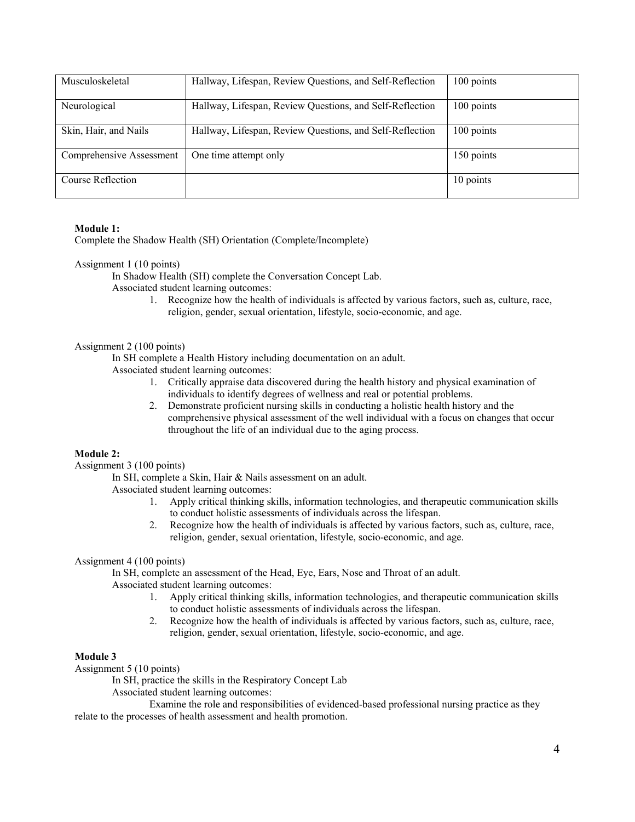| Musculoskeletal          | Hallway, Lifespan, Review Questions, and Self-Reflection | 100 points |
|--------------------------|----------------------------------------------------------|------------|
|                          |                                                          |            |
|                          |                                                          |            |
| Neurological             | Hallway, Lifespan, Review Questions, and Self-Reflection | 100 points |
|                          |                                                          |            |
|                          |                                                          |            |
| Skin, Hair, and Nails    | Hallway, Lifespan, Review Questions, and Self-Reflection | 100 points |
|                          |                                                          |            |
|                          |                                                          |            |
| Comprehensive Assessment | One time attempt only                                    | 150 points |
|                          |                                                          |            |
|                          |                                                          |            |
| Course Reflection        |                                                          | 10 points  |
|                          |                                                          |            |
|                          |                                                          |            |

# **Module 1:**

Complete the Shadow Health (SH) Orientation (Complete/Incomplete)

### Assignment 1 (10 points)

In Shadow Health (SH) complete the Conversation Concept Lab.

- Associated student learning outcomes:
	- 1. Recognize how the health of individuals is affected by various factors, such as, culture, race, religion, gender, sexual orientation, lifestyle, socio-economic, and age.

### Assignment 2 (100 points)

In SH complete a Health History including documentation on an adult.

- Associated student learning outcomes:
	- 1. Critically appraise data discovered during the health history and physical examination of individuals to identify degrees of wellness and real or potential problems.
	- 2. Demonstrate proficient nursing skills in conducting a holistic health history and the comprehensive physical assessment of the well individual with a focus on changes that occur throughout the life of an individual due to the aging process.

## **Module 2:**

Assignment 3 (100 points)

In SH, complete a Skin, Hair & Nails assessment on an adult.

Associated student learning outcomes:

- 1. Apply critical thinking skills, information technologies, and therapeutic communication skills to conduct holistic assessments of individuals across the lifespan.
- 2. Recognize how the health of individuals is affected by various factors, such as, culture, race, religion, gender, sexual orientation, lifestyle, socio-economic, and age.

## Assignment 4 (100 points)

In SH, complete an assessment of the Head, Eye, Ears, Nose and Throat of an adult.

Associated student learning outcomes:

- 1. Apply critical thinking skills, information technologies, and therapeutic communication skills to conduct holistic assessments of individuals across the lifespan.
- 2. Recognize how the health of individuals is affected by various factors, such as, culture, race, religion, gender, sexual orientation, lifestyle, socio-economic, and age.

## **Module 3**

Assignment 5 (10 points)

In SH, practice the skills in the Respiratory Concept Lab

Associated student learning outcomes:

Examine the role and responsibilities of evidenced-based professional nursing practice as they relate to the processes of health assessment and health promotion.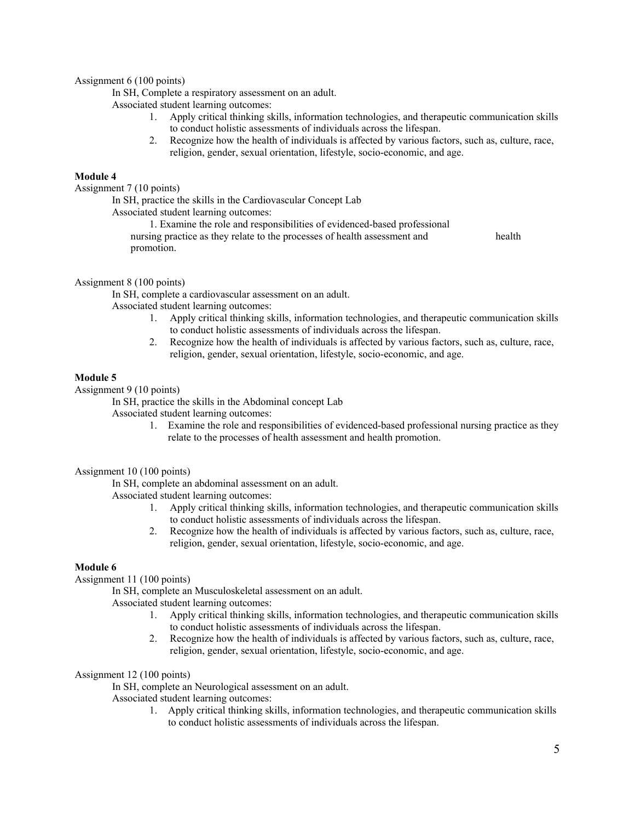## Assignment 6 (100 points)

In SH, Complete a respiratory assessment on an adult.

Associated student learning outcomes:

- 1. Apply critical thinking skills, information technologies, and therapeutic communication skills to conduct holistic assessments of individuals across the lifespan.
- 2. Recognize how the health of individuals is affected by various factors, such as, culture, race, religion, gender, sexual orientation, lifestyle, socio-economic, and age.

# **Module 4**

Assignment 7 (10 points)

In SH, practice the skills in the Cardiovascular Concept Lab

Associated student learning outcomes:

1. Examine the role and responsibilities of evidenced-based professional

nursing practice as they relate to the processes of health assessment and health promotion.

## Assignment 8 (100 points)

In SH, complete a cardiovascular assessment on an adult.

Associated student learning outcomes:

- 1. Apply critical thinking skills, information technologies, and therapeutic communication skills to conduct holistic assessments of individuals across the lifespan.
- 2. Recognize how the health of individuals is affected by various factors, such as, culture, race, religion, gender, sexual orientation, lifestyle, socio-economic, and age.

## **Module 5**

Assignment 9 (10 points)

In SH, practice the skills in the Abdominal concept Lab

Associated student learning outcomes:

1. Examine the role and responsibilities of evidenced-based professional nursing practice as they relate to the processes of health assessment and health promotion.

## Assignment 10 (100 points)

In SH, complete an abdominal assessment on an adult.

Associated student learning outcomes:

- 1. Apply critical thinking skills, information technologies, and therapeutic communication skills to conduct holistic assessments of individuals across the lifespan.
- 2. Recognize how the health of individuals is affected by various factors, such as, culture, race, religion, gender, sexual orientation, lifestyle, socio-economic, and age.

# **Module 6**

Assignment 11 (100 points)

In SH, complete an Musculoskeletal assessment on an adult.

Associated student learning outcomes:

- 1. Apply critical thinking skills, information technologies, and therapeutic communication skills to conduct holistic assessments of individuals across the lifespan.
- 2. Recognize how the health of individuals is affected by various factors, such as, culture, race, religion, gender, sexual orientation, lifestyle, socio-economic, and age.

# Assignment 12 (100 points)

In SH, complete an Neurological assessment on an adult.

Associated student learning outcomes:

1. Apply critical thinking skills, information technologies, and therapeutic communication skills to conduct holistic assessments of individuals across the lifespan.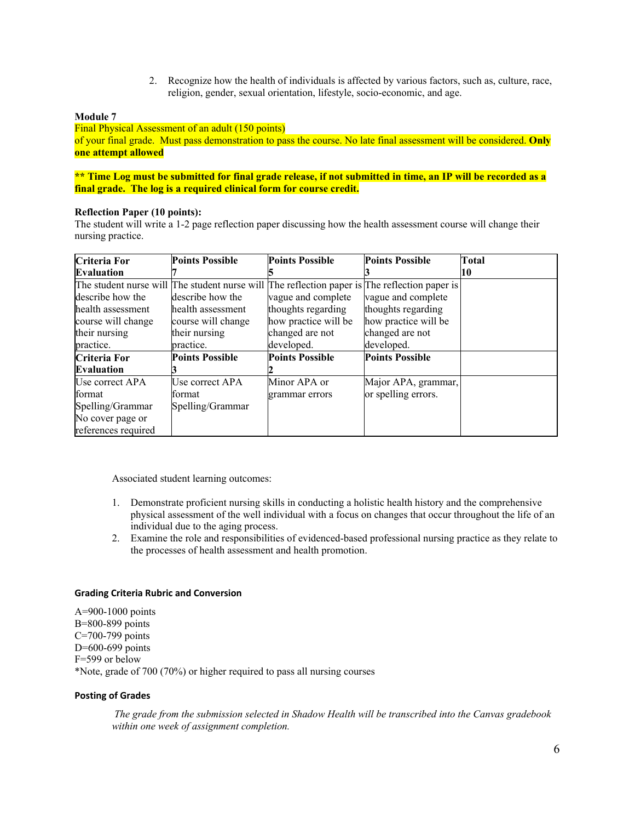2. Recognize how the health of individuals is affected by various factors, such as, culture, race, religion, gender, sexual orientation, lifestyle, socio-economic, and age.

## **Module 7**

Final Physical Assessment of an adult (150 points) of your final grade. Must pass demonstration to pass the course. No late final assessment will be considered. **Only one attempt allowed**

## **\*\* Time Log must be submitted for final grade release, if not submitted in time, an IP will be recorded as a final grade. The log is a required clinical form for course credit.**

## **Reflection Paper (10 points):**

The student will write a 1-2 page reflection paper discussing how the health assessment course will change their nursing practice.

| <b>Criteria For</b> | <b>Points Possible</b> | <b>Points Possible</b> | <b>Points Possible</b>                                                                        | Total |
|---------------------|------------------------|------------------------|-----------------------------------------------------------------------------------------------|-------|
| <b>Evaluation</b>   |                        |                        |                                                                                               | 10    |
|                     |                        |                        | The student nurse will The student nurse will The reflection paper is The reflection paper is |       |
| describe how the    | describe how the       | vague and complete     | vague and complete                                                                            |       |
| health assessment   | health assessment      | thoughts regarding     | thoughts regarding                                                                            |       |
| course will change  | course will change     | how practice will be   | how practice will be                                                                          |       |
| their nursing       | their nursing          | changed are not        | changed are not                                                                               |       |
| practice.           | practice.              | developed.             | developed.                                                                                    |       |
| Criteria For        | <b>Points Possible</b> | <b>Points Possible</b> | <b>Points Possible</b>                                                                        |       |
| <b>Evaluation</b>   |                        |                        |                                                                                               |       |
| Use correct APA     | Use correct APA        | Minor APA or           | Major APA, grammar,                                                                           |       |
| format              | format                 | grammar errors         | or spelling errors.                                                                           |       |
| Spelling/Grammar    | Spelling/Grammar       |                        |                                                                                               |       |
| No cover page or    |                        |                        |                                                                                               |       |
| references required |                        |                        |                                                                                               |       |

Associated student learning outcomes:

- 1. Demonstrate proficient nursing skills in conducting a holistic health history and the comprehensive physical assessment of the well individual with a focus on changes that occur throughout the life of an individual due to the aging process.
- 2. Examine the role and responsibilities of evidenced-based professional nursing practice as they relate to the processes of health assessment and health promotion.

#### **Grading Criteria Rubric and Conversion**

A=900-1000 points  B=800-899 points  C=700-799 points  D=600-699 points  F=599 or below  \*Note, grade of 700 (70%) or higher required to pass all nursing courses 

## **Posting of Grades**

*The grade from the submission selected in Shadow Health will be transcribed into the Canvas gradebook within one week of assignment completion.*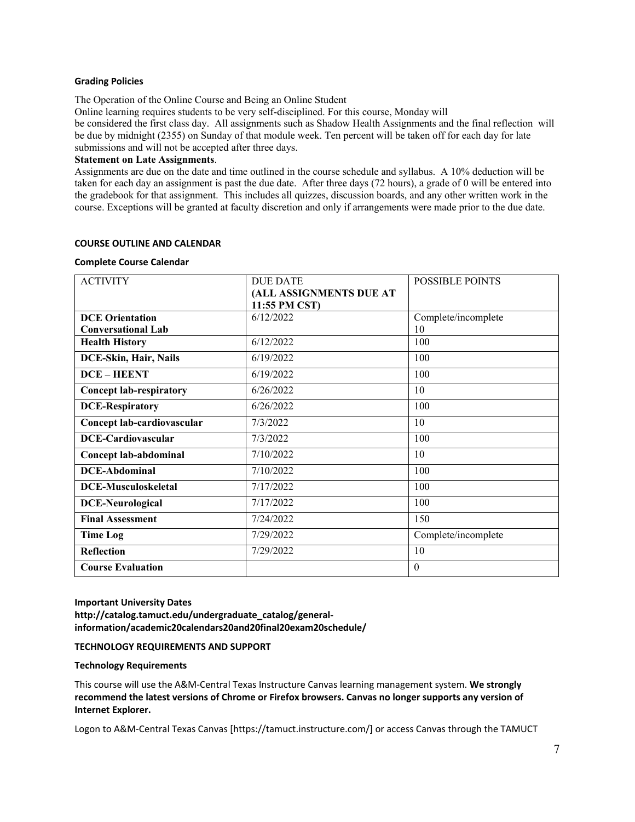### **Grading Policies**

The Operation of the Online Course and Being an Online Student

Online learning requires students to be very self-disciplined. For this course, Monday will be considered the first class day. All assignments such as Shadow Health Assignments and the final reflection will be due by midnight (2355) on Sunday of that module week. Ten percent will be taken off for each day for late submissions and will not be accepted after three days.

### **Statement on Late Assignments**.

Assignments are due on the date and time outlined in the course schedule and syllabus. A 10% deduction will be taken for each day an assignment is past the due date. After three days (72 hours), a grade of 0 will be entered into the gradebook for that assignment. This includes all quizzes, discussion boards, and any other written work in the course. Exceptions will be granted at faculty discretion and only if arrangements were made prior to the due date.

### **COURSE OUTLINE AND CALENDAR**

#### **Complete Course Calendar**

| <b>ACTIVITY</b>                | <b>DUE DATE</b>         | <b>POSSIBLE POINTS</b> |
|--------------------------------|-------------------------|------------------------|
|                                | (ALL ASSIGNMENTS DUE AT |                        |
|                                | 11:55 PM CST)           |                        |
| <b>DCE</b> Orientation         | 6/12/2022               | Complete/incomplete    |
| <b>Conversational Lab</b>      |                         | 10                     |
| <b>Health History</b>          | 6/12/2022               | 100                    |
| DCE-Skin, Hair, Nails          | 6/19/2022               | 100                    |
| <b>DCE-HEENT</b>               | 6/19/2022               | 100                    |
| <b>Concept lab-respiratory</b> | 6/26/2022               | 10                     |
| <b>DCE-Respiratory</b>         | 6/26/2022               | 100                    |
| Concept lab-cardiovascular     | 7/3/2022                | 10                     |
| <b>DCE-Cardiovascular</b>      | 7/3/2022                | 100                    |
| Concept lab-abdominal          | 7/10/2022               | 10                     |
| <b>DCE-Abdominal</b>           | 7/10/2022               | 100                    |
| <b>DCE-Musculoskeletal</b>     | 7/17/2022               | 100                    |
| <b>DCE-Neurological</b>        | 7/17/2022               | 100                    |
| <b>Final Assessment</b>        | 7/24/2022               | 150                    |
| <b>Time Log</b>                | 7/29/2022               | Complete/incomplete    |
| <b>Reflection</b>              | 7/29/2022               | 10                     |
| <b>Course Evaluation</b>       |                         | $\theta$               |

**Important University Dates http://catalog.tamuct.edu/undergraduate\_catalog/generalinformation/academic20calendars20and20final20exam20schedule/**

## **TECHNOLOGY REQUIREMENTS AND SUPPORT**

#### **Technology Requirements**

This course will use the A&M-Central Texas Instructure Canvas learning management system. **We strongly recommend the latest versions of Chrome or Firefox browsers. Canvas no longer supports any version of Internet Explorer.**

Logon to A&M-Central Texas Canvas [https://tamuct.instructure.com/] or access Canvas through the TAMUCT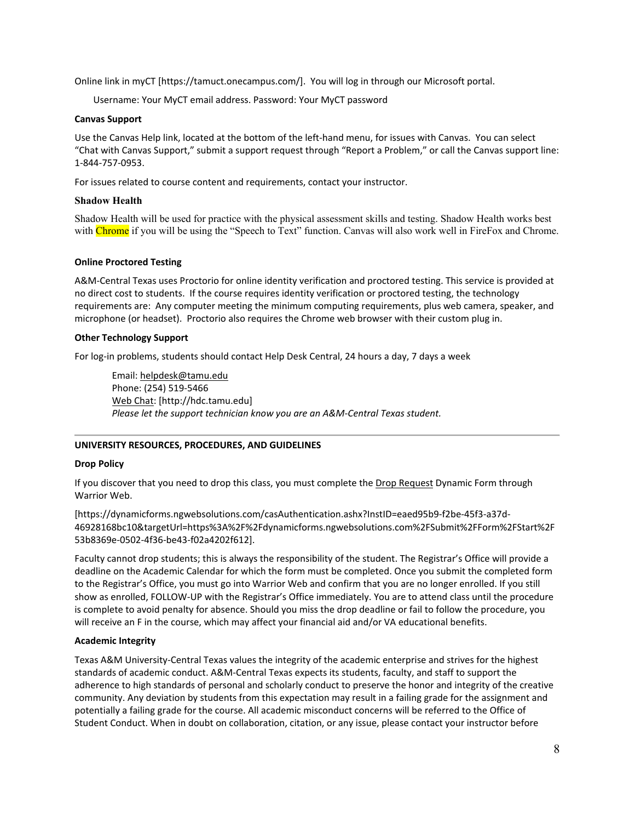Online link in myCT [https://tamuct.onecampus.com/]. You will log in through our Microsoft portal.

Username: Your MyCT email address. Password: Your MyCT password

## **Canvas Support**

Use the Canvas Help link, located at the bottom of the left-hand menu, for issues with Canvas. You can select "Chat with Canvas Support," submit a support request through "Report a Problem," or call the Canvas support line: 1-844-757-0953.

For issues related to course content and requirements, contact your instructor.

## **Shadow Health**

Shadow Health will be used for practice with the physical assessment skills and testing. Shadow Health works best with Chrome if you will be using the "Speech to Text" function. Canvas will also work well in FireFox and Chrome.

## **Online Proctored Testing**

A&M-Central Texas uses Proctorio for online identity verification and proctored testing. This service is provided at no direct cost to students. If the course requires identity verification or proctored testing, the technology requirements are: Any computer meeting the minimum computing requirements, plus web camera, speaker, and microphone (or headset). Proctorio also requires the Chrome web browser with their custom plug in.

## **Other Technology Support**

For log-in problems, students should contact Help Desk Central, 24 hours a day, 7 days a week

Email: [helpdesk@tamu.edu](mailto:helpdesk@tamu.edu) Phone: (254) 519-5466 [Web Chat:](http://hdc.tamu.edu/) [http://hdc.tamu.edu] *Please let the support technician know you are an A&M-Central Texas student.*

# **UNIVERSITY RESOURCES, PROCEDURES, AND GUIDELINES**

## **Drop Policy**

If you discover that you need to drop this class, you must complete the [Drop Request](https://dynamicforms.ngwebsolutions.com/casAuthentication.ashx?InstID=eaed95b9-f2be-45f3-a37d-46928168bc10&targetUrl=https%3A%2F%2Fdynamicforms.ngwebsolutions.com%2FSubmit%2FForm%2FStart%2F53b8369e-0502-4f36-be43-f02a4202f612) Dynamic Form through Warrior Web.

[https://dynamicforms.ngwebsolutions.com/casAuthentication.ashx?InstID=eaed95b9-f2be-45f3-a37d-46928168bc10&targetUrl=https%3A%2F%2Fdynamicforms.ngwebsolutions.com%2FSubmit%2FForm%2FStart%2F 53b8369e-0502-4f36-be43-f02a4202f612].

Faculty cannot drop students; this is always the responsibility of the student. The Registrar's Office will provide a deadline on the Academic Calendar for which the form must be completed. Once you submit the completed form to the Registrar's Office, you must go into Warrior Web and confirm that you are no longer enrolled. If you still show as enrolled, FOLLOW-UP with the Registrar's Office immediately. You are to attend class until the procedure is complete to avoid penalty for absence. Should you miss the drop deadline or fail to follow the procedure, you will receive an F in the course, which may affect your financial aid and/or VA educational benefits.

# **Academic Integrity**

Texas A&M University-Central Texas values the integrity of the academic enterprise and strives for the highest standards of academic conduct. A&M-Central Texas expects its students, faculty, and staff to support the adherence to high standards of personal and scholarly conduct to preserve the honor and integrity of the creative community. Any deviation by students from this expectation may result in a failing grade for the assignment and potentially a failing grade for the course. All academic misconduct concerns will be referred to the Office of Student Conduct. When in doubt on collaboration, citation, or any issue, please contact your instructor before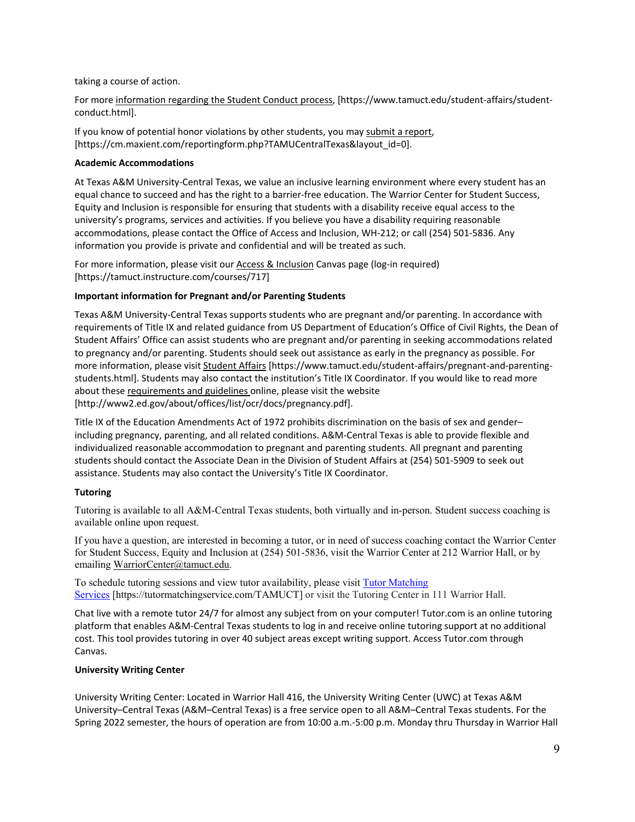taking a course of action.

For more [information](https://nam04.safelinks.protection.outlook.com/?url=https%3A%2F%2Fwww.tamuct.edu%2Fstudent-affairs%2Fstudent-conduct.html&data=04%7C01%7Clisa.bunkowski%40tamuct.edu%7Ccfb6e486f24745f53e1a08d910055cb2%7C9eed4e3000f744849ff193ad8005acec%7C0%7C0%7C637558437485252160%7CUnknown%7CTWFpbGZsb3d8eyJWIjoiMC4wLjAwMDAiLCJQIjoiV2luMzIiLCJBTiI6Ik1haWwiLCJXVCI6Mn0%3D%7C1000&sdata=yjftDEVHvLX%2FhM%2FcFU0B99krV1RgEWR%2BJ%2BhvtoR6TYk%3D&reserved=0) regarding the Student Conduct process, [https://www.tamuct.edu/student-affairs/studentconduct.html].

If you know of potential honor violations by other students, you may submit a [report,](https://nam04.safelinks.protection.outlook.com/?url=https%3A%2F%2Fcm.maxient.com%2Freportingform.php%3FTAMUCentralTexas%26layout_id%3D0&data=04%7C01%7Clisa.bunkowski%40tamuct.edu%7Ccfb6e486f24745f53e1a08d910055cb2%7C9eed4e3000f744849ff193ad8005acec%7C0%7C0%7C637558437485262157%7CUnknown%7CTWFpbGZsb3d8eyJWIjoiMC4wLjAwMDAiLCJQIjoiV2luMzIiLCJBTiI6Ik1haWwiLCJXVCI6Mn0%3D%7C1000&sdata=CXGkOa6uPDPX1IMZ87z3aZDq2n91xfHKu4MMS43Ejjk%3D&reserved=0) [https://cm.maxient.com/reportingform.php?TAMUCentralTexas&layout\_id=0].

# **Academic Accommodations**

At Texas A&M University-Central Texas, we value an inclusive learning environment where every student has an equal chance to succeed and has the right to a barrier-free education. The Warrior Center for Student Success, Equity and Inclusion is responsible for ensuring that students with a disability receive equal access to the university's programs, services and activities. If you believe you have a disability requiring reasonable accommodations, please contact the Office of Access and Inclusion, WH-212; or call (254) 501-5836. Any information you provide is private and confidential and will be treated as such.

For more information, please visit our [Access & Inclusion](https://tamuct.instructure.com/courses/717) Canvas page (log-in required) [https://tamuct.instructure.com/courses/717]

# **Important information for Pregnant and/or Parenting Students**

Texas A&M University-Central Texas supports students who are pregnant and/or parenting. In accordance with requirements of Title IX and related guidance from US Department of Education's Office of Civil Rights, the Dean of Student Affairs' Office can assist students who are pregnant and/or parenting in seeking accommodations related to pregnancy and/or parenting. Students should seek out assistance as early in the pregnancy as possible. For more information, please visit [Student Affairs](https://www.tamuct.edu/student-affairs/pregnant-and-parenting-students.html) [https://www.tamuct.edu/student-affairs/pregnant-and-parentingstudents.html]. Students may also contact the institution's Title IX Coordinator. If you would like to read more about these [requirements and guidelines](http://www2.ed.gov/about/offices/list/ocr/docs/pregnancy.pdf) online, please visit the website [http://www2.ed.gov/about/offices/list/ocr/docs/pregnancy.pdf].

Title IX of the Education Amendments Act of 1972 prohibits discrimination on the basis of sex and gender– including pregnancy, parenting, and all related conditions. A&M-Central Texas is able to provide flexible and individualized reasonable accommodation to pregnant and parenting students. All pregnant and parenting students should contact the Associate Dean in the Division of Student Affairs at (254) 501-5909 to seek out assistance. Students may also contact the University's Title IX Coordinator.

# **Tutoring**

Tutoring is available to all A&M-Central Texas students, both virtually and in-person. Student success coaching is available online upon request.

If you have a question, are interested in becoming a tutor, or in need of success coaching contact the Warrior Center for Student Success, Equity and Inclusion at (254) 501-5836, visit the Warrior Center at 212 Warrior Hall, or by emailing [WarriorCenter@tamuct.edu.](mailto:WarriorCenter@tamuct.edu)

To schedule tutoring sessions and view tutor availability, please visit **Tutor [Matching](https://tutormatchingservice.com/TAMUCT)** [Services](https://tutormatchingservice.com/TAMUCT) [https://tutormatchingservice.com/TAMUCT] or visit the Tutoring Center in 111 Warrior Hall.

Chat live with a remote tutor 24/7 for almost any subject from on your computer! Tutor.com is an online tutoring platform that enables A&M-Central Texas students to log in and receive online tutoring support at no additional cost. This tool provides tutoring in over 40 subject areas except writing support. Access Tutor.com through Canvas.

# **University Writing Center**

University Writing Center: Located in Warrior Hall 416, the University Writing Center (UWC) at Texas A&M University–Central Texas (A&M–Central Texas) is a free service open to all A&M–Central Texas students. For the Spring 2022 semester, the hours of operation are from 10:00 a.m.-5:00 p.m. Monday thru Thursday in Warrior Hall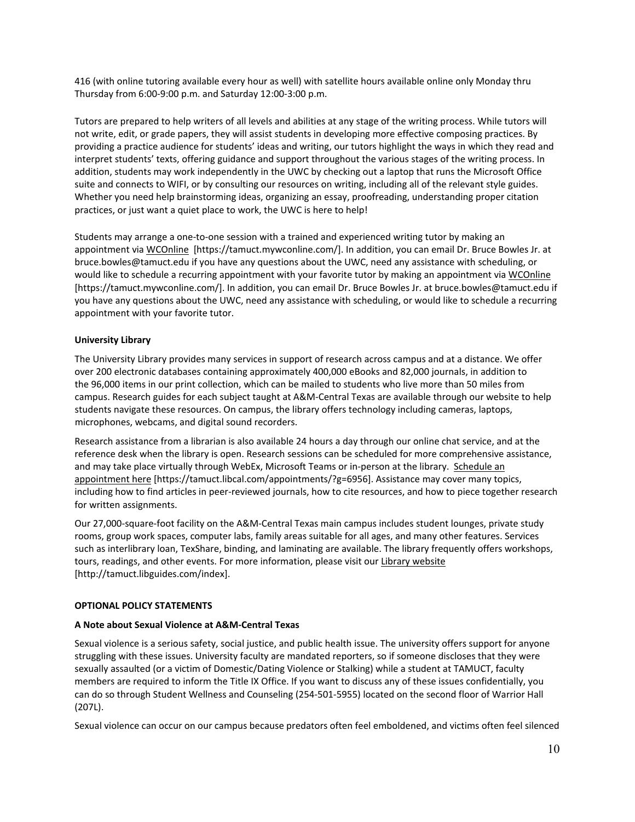416 (with online tutoring available every hour as well) with satellite hours available online only Monday thru Thursday from 6:00-9:00 p.m. and Saturday 12:00-3:00 p.m.

Tutors are prepared to help writers of all levels and abilities at any stage of the writing process. While tutors will not write, edit, or grade papers, they will assist students in developing more effective composing practices. By providing a practice audience for students' ideas and writing, our tutors highlight the ways in which they read and interpret students' texts, offering guidance and support throughout the various stages of the writing process. In addition, students may work independently in the UWC by checking out a laptop that runs the Microsoft Office suite and connects to WIFI, or by consulting our resources on writing, including all of the relevant style guides. Whether you need help brainstorming ideas, organizing an essay, proofreading, understanding proper citation practices, or just want a quiet place to work, the UWC is here to help!

Students may arrange a one-to-one session with a trained and experienced writing tutor by making an appointment via [WCOnline](https://tamuct.mywconline.com/) [https://tamuct.mywconline.com/]. In addition, you can email Dr. Bruce Bowles Jr. at bruce.bowles@tamuct.edu if you have any questions about the UWC, need any assistance with scheduling, or would like to schedule a recurring appointment with your favorite tutor by making an appointment vi[a WCOnline](https://tamuct.mywconline.com/) [https://tamuct.mywconline.com/]. In addition, you can email Dr. Bruce Bowles Jr. at bruce.bowles@tamuct.edu if you have any questions about the UWC, need any assistance with scheduling, or would like to schedule a recurring appointment with your favorite tutor.

# **University Library**

The University Library provides many services in support of research across campus and at a distance. We offer over 200 electronic databases containing approximately 400,000 eBooks and 82,000 journals, in addition to the 96,000 items in our print collection, which can be mailed to students who live more than 50 miles from campus. Research guides for each subject taught at A&M-Central Texas are available through our website to help students navigate these resources. On campus, the library offers technology including cameras, laptops, microphones, webcams, and digital sound recorders.

Research assistance from a librarian is also available 24 hours a day through our online chat service, and at the reference desk when the library is open. Research sessions can be scheduled for more comprehensive assistance, and may take place virtually through WebEx, Microsoft Teams or in-person at the library. [Schedule](https://nam04.safelinks.protection.outlook.com/?url=https%3A%2F%2Ftamuct.libcal.com%2Fappointments%2F%3Fg%3D6956&data=04%7C01%7Clisa.bunkowski%40tamuct.edu%7Cde2c07d9f5804f09518008d9ab7ba6ff%7C9eed4e3000f744849ff193ad8005acec%7C0%7C0%7C637729369835011558%7CUnknown%7CTWFpbGZsb3d8eyJWIjoiMC4wLjAwMDAiLCJQIjoiV2luMzIiLCJBTiI6Ik1haWwiLCJXVCI6Mn0%3D%7C3000&sdata=KhtjgRSAw9aq%2FoBsB6wyu8b7PSuGN5EGPypzr3Ty2No%3D&reserved=0) an [appointment](https://nam04.safelinks.protection.outlook.com/?url=https%3A%2F%2Ftamuct.libcal.com%2Fappointments%2F%3Fg%3D6956&data=04%7C01%7Clisa.bunkowski%40tamuct.edu%7Cde2c07d9f5804f09518008d9ab7ba6ff%7C9eed4e3000f744849ff193ad8005acec%7C0%7C0%7C637729369835011558%7CUnknown%7CTWFpbGZsb3d8eyJWIjoiMC4wLjAwMDAiLCJQIjoiV2luMzIiLCJBTiI6Ik1haWwiLCJXVCI6Mn0%3D%7C3000&sdata=KhtjgRSAw9aq%2FoBsB6wyu8b7PSuGN5EGPypzr3Ty2No%3D&reserved=0) here [https://tamuct.libcal.com/appointments/?g=6956]. Assistance may cover many topics, including how to find articles in peer-reviewed journals, how to cite resources, and how to piece together research for written assignments.

Our 27,000-square-foot facility on the A&M-Central Texas main campus includes student lounges, private study rooms, group work spaces, computer labs, family areas suitable for all ages, and many other features. Services such as interlibrary loan, TexShare, binding, and laminating are available. The library frequently offers workshops, tours, readings, and other events. For more information, please visit our Library [website](https://nam04.safelinks.protection.outlook.com/?url=https%3A%2F%2Ftamuct.libguides.com%2Findex&data=04%7C01%7Clisa.bunkowski%40tamuct.edu%7C7d8489e8839a4915335f08d916f067f2%7C9eed4e3000f744849ff193ad8005acec%7C0%7C0%7C637566044056484222%7CUnknown%7CTWFpbGZsb3d8eyJWIjoiMC4wLjAwMDAiLCJQIjoiV2luMzIiLCJBTiI6Ik1haWwiLCJXVCI6Mn0%3D%7C1000&sdata=2R755V6rcIyedGrd4Os5rkgn1PvhHKU3kUV1vBKiHFo%3D&reserved=0) [http://tamuct.libguides.com/index].

## **OPTIONAL POLICY STATEMENTS**

## **A Note about Sexual Violence at A&M-Central Texas**

Sexual violence is a serious safety, social justice, and public health issue. The university offers support for anyone struggling with these issues. University faculty are mandated reporters, so if someone discloses that they were sexually assaulted (or a victim of Domestic/Dating Violence or Stalking) while a student at TAMUCT, faculty members are required to inform the Title IX Office. If you want to discuss any of these issues confidentially, you can do so through Student Wellness and Counseling (254-501-5955) located on the second floor of Warrior Hall (207L).

Sexual violence can occur on our campus because predators often feel emboldened, and victims often feel silenced